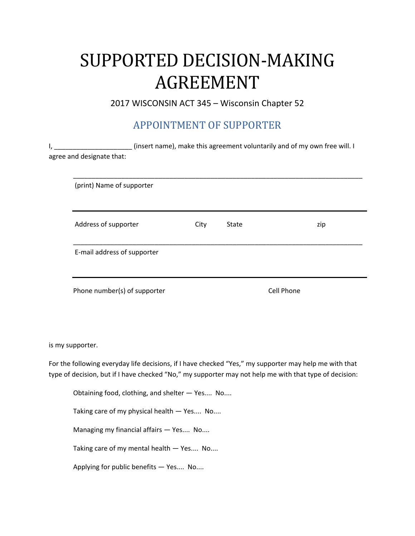# SUPPORTED DECISION-MAKING AGREEMENT

2017 WISCONSIN ACT 345 – Wisconsin Chapter 52

### APPOINTMENT OF SUPPORTER

| I, |                                                                                                                                                                                                                  |      |              | (insert name), make this agreement voluntarily and of my own free will. I |  |  |  |  |  |
|----|------------------------------------------------------------------------------------------------------------------------------------------------------------------------------------------------------------------|------|--------------|---------------------------------------------------------------------------|--|--|--|--|--|
|    | agree and designate that:                                                                                                                                                                                        |      |              |                                                                           |  |  |  |  |  |
|    |                                                                                                                                                                                                                  |      |              |                                                                           |  |  |  |  |  |
|    | (print) Name of supporter                                                                                                                                                                                        |      |              |                                                                           |  |  |  |  |  |
|    | Address of supporter                                                                                                                                                                                             | City | <b>State</b> | zip                                                                       |  |  |  |  |  |
|    | E-mail address of supporter                                                                                                                                                                                      |      |              |                                                                           |  |  |  |  |  |
|    | Phone number(s) of supporter                                                                                                                                                                                     |      |              | <b>Cell Phone</b>                                                         |  |  |  |  |  |
|    | is my supporter.                                                                                                                                                                                                 |      |              |                                                                           |  |  |  |  |  |
|    | For the following everyday life decisions, if I have checked "Yes," my supporter may help me with that<br>type of decision, but if I have checked "No," my supporter may not help me with that type of decision: |      |              |                                                                           |  |  |  |  |  |
|    | Obtaining food, clothing, and shelter - Yes No                                                                                                                                                                   |      |              |                                                                           |  |  |  |  |  |

Taking care of my physical health — Yes.... No....

Managing my financial affairs — Yes.... No....

Taking care of my mental health — Yes.... No....

Applying for public benefits — Yes.... No....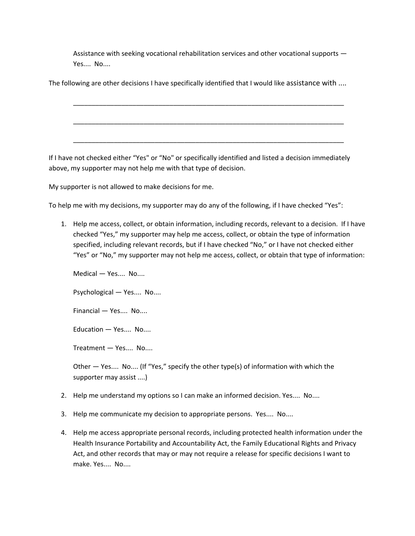Assistance with seeking vocational rehabilitation services and other vocational supports — Yes.... No....

\_\_\_\_\_\_\_\_\_\_\_\_\_\_\_\_\_\_\_\_\_\_\_\_\_\_\_\_\_\_\_\_\_\_\_\_\_\_\_\_\_\_\_\_\_\_\_\_\_\_\_\_\_\_\_\_\_\_\_\_\_\_\_\_\_\_\_\_\_\_\_\_\_

\_\_\_\_\_\_\_\_\_\_\_\_\_\_\_\_\_\_\_\_\_\_\_\_\_\_\_\_\_\_\_\_\_\_\_\_\_\_\_\_\_\_\_\_\_\_\_\_\_\_\_\_\_\_\_\_\_\_\_\_\_\_\_\_\_\_\_\_\_\_\_\_\_

\_\_\_\_\_\_\_\_\_\_\_\_\_\_\_\_\_\_\_\_\_\_\_\_\_\_\_\_\_\_\_\_\_\_\_\_\_\_\_\_\_\_\_\_\_\_\_\_\_\_\_\_\_\_\_\_\_\_\_\_\_\_\_\_\_\_\_\_\_\_\_\_\_

The following are other decisions I have specifically identified that I would like assistance with ....

If I have not checked either "Yes" or "No" or specifically identified and listed a decision immediately above, my supporter may not help me with that type of decision.

My supporter is not allowed to make decisions for me.

To help me with my decisions, my supporter may do any of the following, if I have checked "Yes":

1. Help me access, collect, or obtain information, including records, relevant to a decision. If I have checked "Yes," my supporter may help me access, collect, or obtain the type of information specified, including relevant records, but if I have checked "No," or I have not checked either "Yes" or "No," my supporter may not help me access, collect, or obtain that type of information:

Medical — Yes.... No....

Psychological — Yes.... No....

Financial — Yes.... No....

Education — Yes.... No....

Treatment — Yes.... No....

Other — Yes.... No.... (If "Yes," specify the other type(s) of information with which the supporter may assist ....)

- 2. Help me understand my options so I can make an informed decision. Yes.... No....
- 3. Help me communicate my decision to appropriate persons. Yes.... No....
- 4. Help me access appropriate personal records, including protected health information under the Health Insurance Portability and Accountability Act, the Family Educational Rights and Privacy Act, and other records that may or may not require a release for specific decisions I want to make. Yes.... No....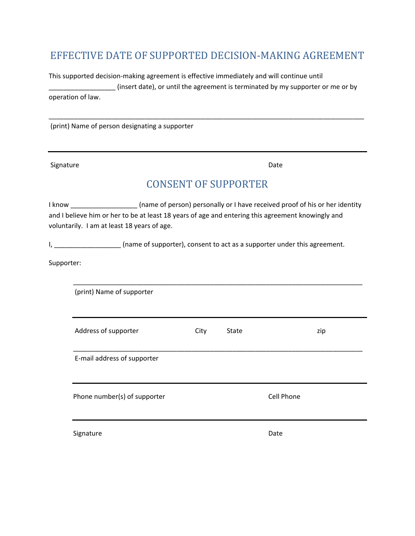#### EFFECTIVE DATE OF SUPPORTED DECISION-MAKING AGREEMENT

This supported decision-making agreement is effective immediately and will continue until (insert date), or until the agreement is terminated by my supporter or me or by operation of law.

\_\_\_\_\_\_\_\_\_\_\_\_\_\_\_\_\_\_\_\_\_\_\_\_\_\_\_\_\_\_\_\_\_\_\_\_\_\_\_\_\_\_\_\_\_\_\_\_\_\_\_\_\_\_\_\_\_\_\_\_\_\_\_\_\_\_\_\_\_\_\_\_\_\_\_\_\_\_\_\_\_\_\_\_\_

(print) Name of person designating a supporter

Signature Date

#### CONSENT OF SUPPORTER

I know **I have received proof of his of her identity** (name of person) personally or I have received proof of his or her identity and I believe him or her to be at least 18 years of age and entering this agreement knowingly and voluntarily. I am at least 18 years of age.

I, \_\_\_\_\_\_\_\_\_\_\_\_\_\_\_\_\_\_\_\_\_ (name of supporter), consent to act as a supporter under this agreement.

Supporter:

| (print) Name of supporter    |      |              |                   |     |
|------------------------------|------|--------------|-------------------|-----|
| Address of supporter         | City | <b>State</b> |                   | zip |
| E-mail address of supporter  |      |              |                   |     |
| Phone number(s) of supporter |      |              | <b>Cell Phone</b> |     |
| Signature                    |      |              | Date              |     |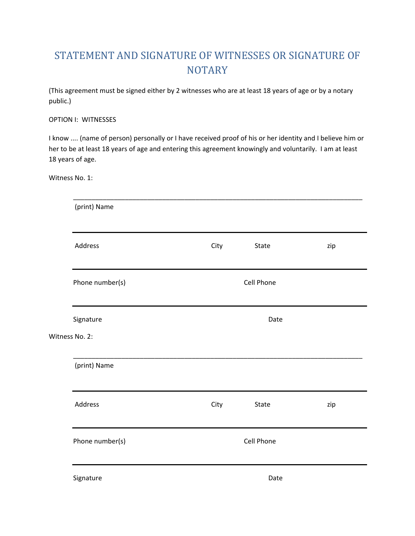## STATEMENT AND SIGNATURE OF WITNESSES OR SIGNATURE OF **NOTARY**

(This agreement must be signed either by 2 witnesses who are at least 18 years of age or by a notary public.)

#### OPTION I: WITNESSES

I know .... (name of person) personally or I have received proof of his or her identity and I believe him or her to be at least 18 years of age and entering this agreement knowingly and voluntarily. I am at least 18 years of age.

Witness No. 1:

| (print) Name    |      |                   |     |  |  |  |
|-----------------|------|-------------------|-----|--|--|--|
| Address         | City | State             | zip |  |  |  |
| Phone number(s) |      | <b>Cell Phone</b> |     |  |  |  |
| Signature       | Date |                   |     |  |  |  |
| Witness No. 2:  |      |                   |     |  |  |  |
| (print) Name    |      |                   |     |  |  |  |
| Address         | City | State             | zip |  |  |  |
| Phone number(s) |      | Cell Phone        |     |  |  |  |
| Signature       |      | Date              |     |  |  |  |